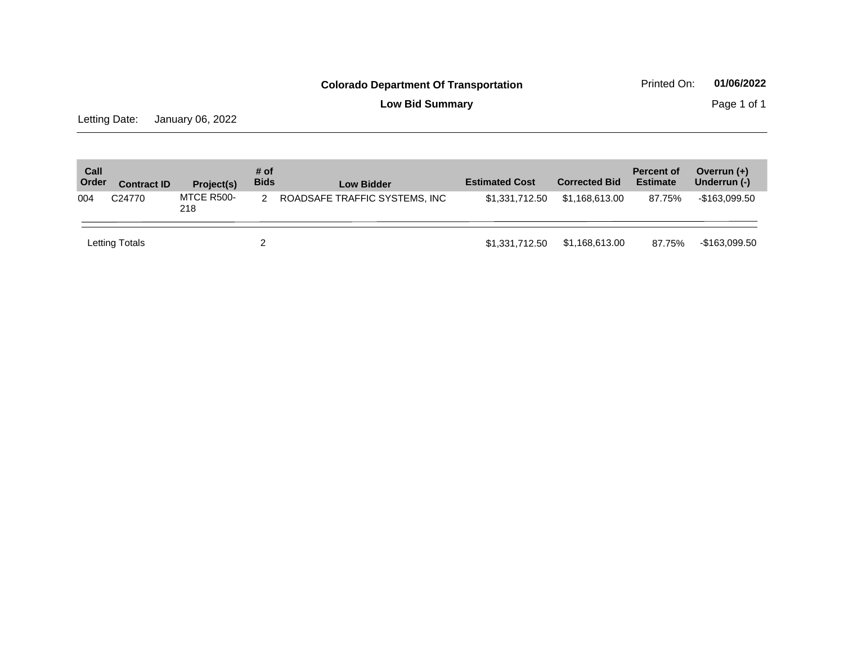**Low Bid Summary Page 1 of 1** 

Letting Date: January 06, 2022

| Call<br>Order | <b>Contract ID</b> | Project(s)        | # of<br><b>Bids</b> | <b>Low Bidder</b>             | <b>Estimated Cost</b> | <b>Corrected Bid</b> | <b>Percent of</b><br><b>Estimate</b> | Overrun $(+)$<br>Underrun (-) |
|---------------|--------------------|-------------------|---------------------|-------------------------------|-----------------------|----------------------|--------------------------------------|-------------------------------|
| 004           | C <sub>24770</sub> | MTCE R500-<br>218 | 2                   | ROADSAFE TRAFFIC SYSTEMS, INC | \$1,331,712.50        | \$1,168,613.00       | 87.75%                               | -\$163,099.50                 |
|               | Letting Totals     |                   | າ                   |                               | \$1,331,712.50        | \$1,168,613.00       | 87.75%                               | -\$163,099.50                 |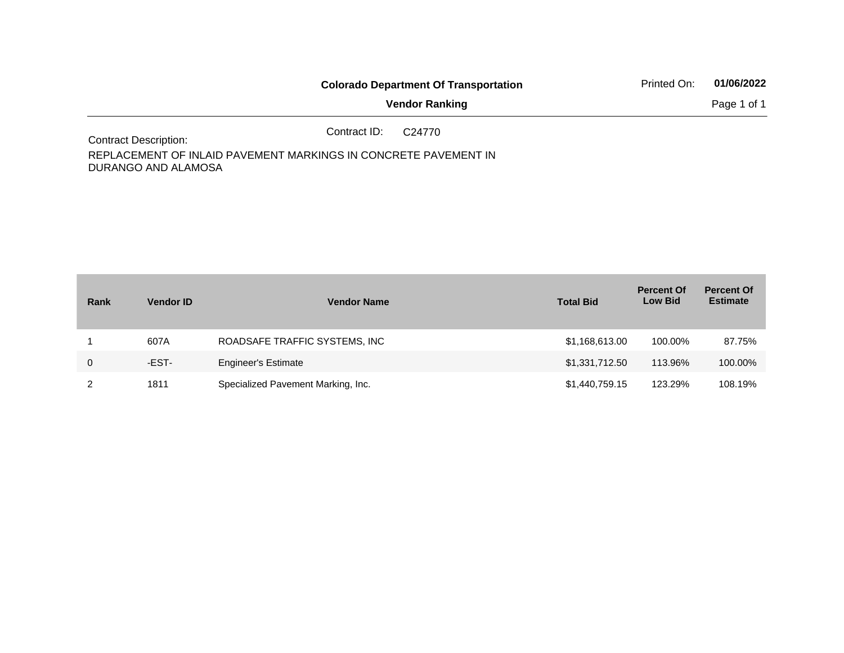|                                                                      |              | <b>Colorado Department Of Transportation</b> | Printed On: | 01/06/2022  |
|----------------------------------------------------------------------|--------------|----------------------------------------------|-------------|-------------|
|                                                                      |              | <b>Vendor Ranking</b>                        |             | Page 1 of 1 |
| <b>Contract Description:</b>                                         | Contract ID: | C24770                                       |             |             |
| DEDLA OF MENIT OF INILAID DAVEMENT MADI/INOO IN OOMODETE DAVEMENT IN |              |                                              |             |             |

REPLACEMENT OF INLAID PAVEMENT MARKINGS IN CONCRETE PAVEMENT IN DURANGO AND ALAMOSA

| Rank        | <b>Vendor ID</b> | <b>Vendor Name</b>                 | <b>Total Bid</b> | <b>Percent Of</b><br><b>Low Bid</b> | <b>Percent Of</b><br><b>Estimate</b> |
|-------------|------------------|------------------------------------|------------------|-------------------------------------|--------------------------------------|
|             | 607A             | ROADSAFE TRAFFIC SYSTEMS, INC      | \$1,168,613.00   | 100.00%                             | 87.75%                               |
| $\mathbf 0$ | -EST-            | <b>Engineer's Estimate</b>         | \$1,331,712.50   | 113.96%                             | 100.00%                              |
|             | 1811             | Specialized Pavement Marking, Inc. | \$1,440,759.15   | 123.29%                             | 108.19%                              |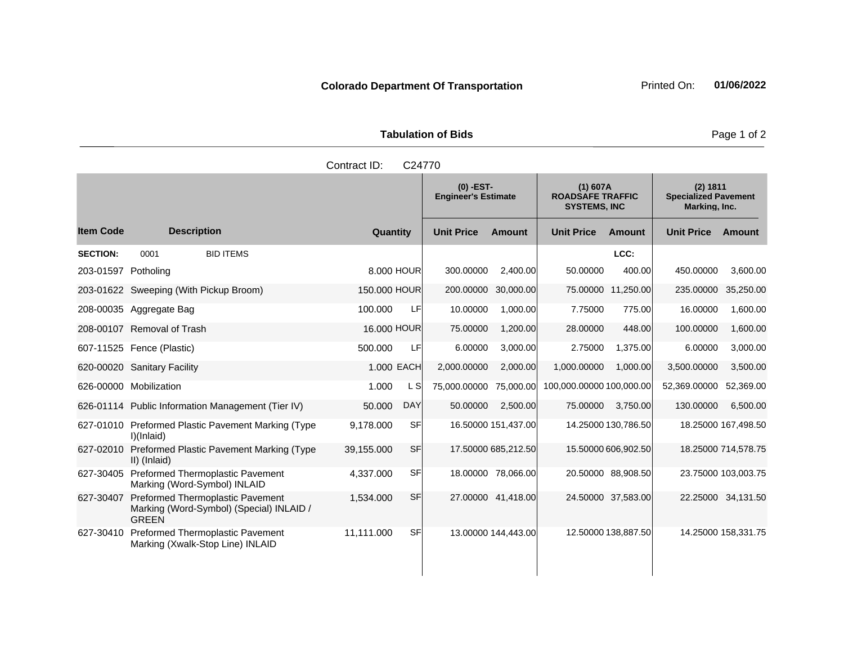|                       | <b>Tabulation of Bids</b> |
|-----------------------|---------------------------|
| Contract $ID: C24770$ |                           |

|                     |                                                                                                     |              |            | $(0)$ -EST-<br><b>Engineer's Estimate</b> |                     | $(1)$ 607A<br><b>ROADSAFE TRAFFIC</b><br><b>SYSTEMS, INC</b> |                     | (2) 1811<br><b>Specialized Pavement</b><br>Marking, Inc. |                     |
|---------------------|-----------------------------------------------------------------------------------------------------|--------------|------------|-------------------------------------------|---------------------|--------------------------------------------------------------|---------------------|----------------------------------------------------------|---------------------|
| <b>Item Code</b>    | <b>Description</b>                                                                                  | Quantity     |            | <b>Unit Price</b>                         | <b>Amount</b>       | <b>Unit Price</b>                                            | <b>Amount</b>       | <b>Unit Price</b>                                        | <b>Amount</b>       |
| <b>SECTION:</b>     | <b>BID ITEMS</b><br>0001                                                                            |              |            |                                           |                     |                                                              | LCC:                |                                                          |                     |
| 203-01597 Potholing |                                                                                                     |              | 8,000 HOUR | 300.00000                                 | 2,400.00            | 50.00000                                                     | 400.00              | 450.00000                                                | 3,600.00            |
|                     | 203-01622 Sweeping (With Pickup Broom)                                                              | 150.000 HOUR |            | 200.00000                                 | 30,000.00           |                                                              | 75.00000 11,250.00  | 235.00000                                                | 35,250.00           |
|                     | 208-00035 Aggregate Bag                                                                             | 100.000      | LF         | 10.00000                                  | 1,000.00            | 7.75000                                                      | 775.00              | 16.00000                                                 | 1,600.00            |
|                     | 208-00107 Removal of Trash                                                                          | 16,000 HOUR  |            | 75.00000                                  | 1,200.00            | 28.00000                                                     | 448.00              | 100.00000                                                | 1,600.00            |
|                     | 607-11525 Fence (Plastic)                                                                           | 500.000      | LF         | 6.00000                                   | 3,000.00            | 2.75000                                                      | 1,375.00            | 6.00000                                                  | 3,000.00            |
|                     | 620-00020 Sanitary Facility                                                                         |              | 1.000 EACH | 2,000.00000                               | 2,000.00            | 1,000.00000                                                  | 1,000.00            | 3,500.00000                                              | 3,500.00            |
|                     | 626-00000 Mobilization                                                                              | 1.000        | L S        | 75,000.00000                              | 75,000.00           | 100,000.00000 100,000.00                                     |                     | 52,369.00000                                             | 52,369.00           |
|                     | 626-01114 Public Information Management (Tier IV)                                                   | 50.000       | <b>DAY</b> | 50.00000                                  | 2,500.00            | 75.00000                                                     | 3,750.00            | 130.00000                                                | 6,500.00            |
|                     | 627-01010 Preformed Plastic Pavement Marking (Type<br>I)(Inlaid)                                    | 9,178.000    | SF         |                                           | 16.50000 151,437.00 |                                                              | 14.25000 130,786.50 |                                                          | 18.25000 167,498.50 |
| 627-02010           | Preformed Plastic Pavement Marking (Type<br>II) (Inlaid)                                            | 39,155.000   | <b>SF</b>  |                                           | 17.50000 685,212.50 |                                                              | 15.50000 606,902.50 |                                                          | 18.25000 714,578.75 |
|                     | 627-30405 Preformed Thermoplastic Pavement<br>Marking (Word-Symbol) INLAID                          | 4,337.000    | <b>SF</b>  |                                           | 18.00000 78,066.00  |                                                              | 20.50000 88,908.50  |                                                          | 23.75000 103,003.75 |
| 627-30407           | <b>Preformed Thermoplastic Pavement</b><br>Marking (Word-Symbol) (Special) INLAID /<br><b>GREEN</b> | 1,534.000    | <b>SF</b>  |                                           | 27.00000 41,418.00  |                                                              | 24.50000 37,583.00  |                                                          | 22.25000 34,131.50  |
| 627-30410           | Preformed Thermoplastic Pavement<br>Marking (Xwalk-Stop Line) INLAID                                | 11,111.000   | SF         |                                           | 13.00000 144,443.00 |                                                              | 12.50000 138,887.50 |                                                          | 14.25000 158,331.75 |

Page 1 of 2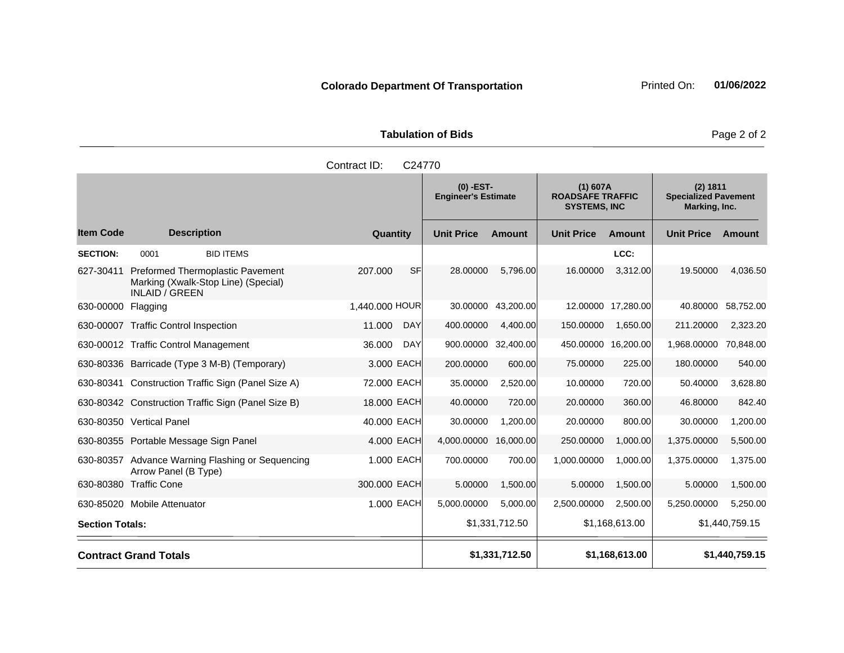**Tabulation of Bids** Page 2 of 2

|                        |                                                                                                  | Contract ID:<br>C24770                    |                   |                |                                                              |                    |                                                          |                |
|------------------------|--------------------------------------------------------------------------------------------------|-------------------------------------------|-------------------|----------------|--------------------------------------------------------------|--------------------|----------------------------------------------------------|----------------|
|                        |                                                                                                  | $(0)$ -EST-<br><b>Engineer's Estimate</b> |                   |                | $(1)$ 607A<br><b>ROADSAFE TRAFFIC</b><br><b>SYSTEMS, INC</b> |                    | (2) 1811<br><b>Specialized Pavement</b><br>Marking, Inc. |                |
| <b>Item Code</b>       | <b>Description</b>                                                                               | Quantity                                  | <b>Unit Price</b> | <b>Amount</b>  | <b>Unit Price</b>                                            | <b>Amount</b>      | <b>Unit Price</b>                                        | <b>Amount</b>  |
| <b>SECTION:</b>        | 0001<br><b>BID ITEMS</b>                                                                         |                                           |                   |                |                                                              | LCC:               |                                                          |                |
| 627-30411              | Preformed Thermoplastic Pavement<br>Marking (Xwalk-Stop Line) (Special)<br><b>INLAID / GREEN</b> | <b>SF</b><br>207.000                      | 28.00000          | 5,796.00       | 16.00000                                                     | 3,312.00           | 19.50000                                                 | 4,036.50       |
| 630-00000 Flagging     |                                                                                                  | 1,440.000 HOUR                            | 30.00000          | 43,200.00      |                                                              | 12.00000 17,280.00 | 40.80000                                                 | 58,752.00      |
|                        | 630-00007 Traffic Control Inspection                                                             | 11.000<br><b>DAY</b>                      | 400.00000         | 4,400.00       | 150.00000                                                    | 1,650.00           | 211.20000                                                | 2,323.20       |
|                        | 630-00012 Traffic Control Management                                                             | <b>DAY</b><br>36.000                      | 900.00000         | 32,400.00      | 450.00000                                                    | 16,200.00          | 1,968.00000                                              | 70,848.00      |
|                        | 630-80336 Barricade (Type 3 M-B) (Temporary)                                                     | 3.000 EACH                                | 200.00000         | 600.00         | 75.00000                                                     | 225.00             | 180.00000                                                | 540.00         |
|                        | 630-80341 Construction Traffic Sign (Panel Size A)                                               | 72.000 EACH                               | 35.00000          | 2,520.00       | 10.00000                                                     | 720.00             | 50.40000                                                 | 3,628.80       |
|                        | 630-80342 Construction Traffic Sign (Panel Size B)                                               | 18.000 EACH                               | 40.00000          | 720.00         | 20.00000                                                     | 360.00             | 46.80000                                                 | 842.40         |
|                        | 630-80350 Vertical Panel                                                                         | 40.000 EACH                               | 30.00000          | 1,200.00       | 20.00000                                                     | 800.00             | 30.00000                                                 | 1,200.00       |
|                        | 630-80355 Portable Message Sign Panel                                                            | 4.000 EACH                                | 4,000.00000       | 16,000.00      | 250.00000                                                    | 1,000.00           | 1,375.00000                                              | 5,500.00       |
| 630-80357              | Advance Warning Flashing or Sequencing<br>Arrow Panel (B Type)                                   | 1.000 EACH                                | 700.00000         | 700.00         | 1,000.00000                                                  | 1,000.00           | 1,375.00000                                              | 1,375.00       |
|                        | 630-80380 Traffic Cone                                                                           | 300.000 EACH                              | 5.00000           | 1,500.00       | 5.00000                                                      | 1,500.00           | 5.00000                                                  | 1,500.00       |
|                        | 630-85020 Mobile Attenuator                                                                      | 1.000 EACH                                | 5,000.00000       | 5,000.00       | 2,500.00000                                                  | 2,500.00           | 5,250.00000                                              | 5,250.00       |
| <b>Section Totals:</b> |                                                                                                  |                                           |                   | \$1,331,712.50 |                                                              | \$1,168,613.00     |                                                          | \$1,440,759.15 |

**Contract Grand Totals \$1,440,759.15**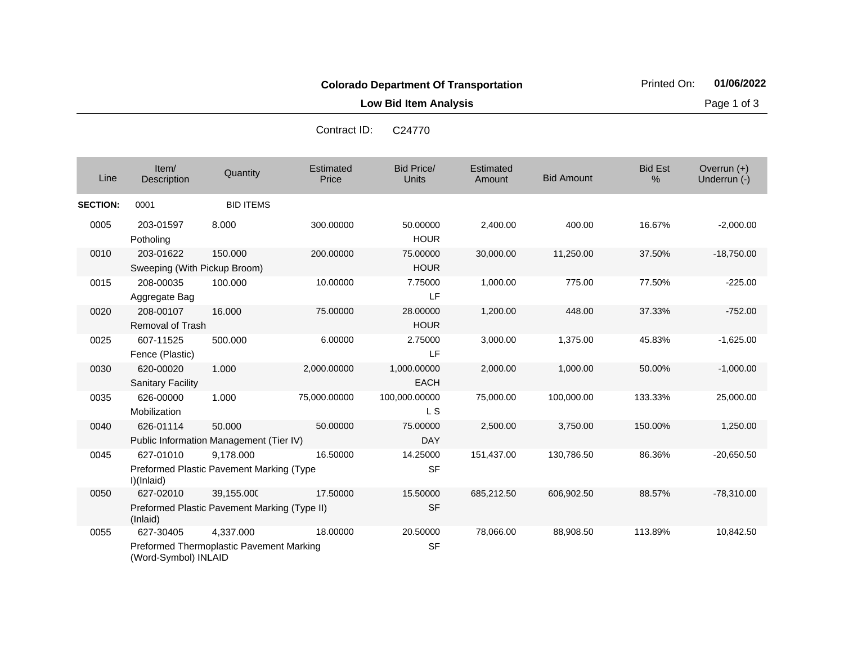**Low Bid Item Analysis Page 1 of 3** 

| Line            | Item/<br>Description                  | Quantity                                     | Estimated<br>Price | <b>Bid Price/</b><br>Units | Estimated<br>Amount | <b>Bid Amount</b> | <b>Bid Est</b><br>% | Overrun $(+)$<br>Underrun (-) |
|-----------------|---------------------------------------|----------------------------------------------|--------------------|----------------------------|---------------------|-------------------|---------------------|-------------------------------|
| <b>SECTION:</b> | 0001                                  | <b>BID ITEMS</b>                             |                    |                            |                     |                   |                     |                               |
| 0005            | 203-01597<br>Potholing                | 8.000                                        | 300.00000          | 50.00000<br><b>HOUR</b>    | 2,400.00            | 400.00            | 16.67%              | $-2,000.00$                   |
| 0010            | 203-01622                             | 150.000                                      | 200.00000          | 75.00000                   | 30,000.00           | 11,250.00         | 37.50%              | $-18,750.00$                  |
|                 | Sweeping (With Pickup Broom)          |                                              |                    | <b>HOUR</b>                |                     |                   |                     |                               |
| 0015            | 208-00035<br>Aggregate Bag            | 100.000                                      | 10.00000           | 7.75000<br>LF              | 1,000.00            | 775.00            | 77.50%              | $-225.00$                     |
| 0020            | 208-00107<br><b>Removal of Trash</b>  | 16.000                                       | 75.00000           | 28.00000<br><b>HOUR</b>    | 1,200.00            | 448.00            | 37.33%              | $-752.00$                     |
| 0025            | 607-11525<br>Fence (Plastic)          | 500.000                                      | 6.00000            | 2.75000<br>LF              | 3,000.00            | 1,375.00          | 45.83%              | $-1,625.00$                   |
| 0030            | 620-00020<br><b>Sanitary Facility</b> | 1.000                                        | 2,000.00000        | 1,000.00000<br><b>EACH</b> | 2,000.00            | 1,000.00          | 50.00%              | $-1,000.00$                   |
| 0035            | 626-00000<br>Mobilization             | 1.000                                        | 75,000.00000       | 100,000.00000<br>L S       | 75,000.00           | 100,000.00        | 133.33%             | 25,000.00                     |
| 0040            | 626-01114                             | 50.000                                       | 50.00000           | 75.00000                   | 2,500.00            | 3,750.00          | 150.00%             | 1,250.00                      |
|                 |                                       | Public Information Management (Tier IV)      |                    | <b>DAY</b>                 |                     |                   |                     |                               |
| 0045            | 627-01010                             | 9,178.000                                    | 16.50000           | 14.25000                   | 151,437.00          | 130,786.50        | 86.36%              | $-20,650.50$                  |
|                 | I)(Inlaid)                            | Preformed Plastic Pavement Marking (Type     |                    | <b>SF</b>                  |                     |                   |                     |                               |
| 0050            | 627-02010                             | 39,155.000                                   | 17.50000           | 15.50000                   | 685,212.50          | 606,902.50        | 88.57%              | $-78,310.00$                  |
|                 | (Inlaid)                              | Preformed Plastic Pavement Marking (Type II) |                    | <b>SF</b>                  |                     |                   |                     |                               |
| 0055            | 627-30405                             | 4,337.000                                    | 18.00000           | 20.50000                   | 78,066.00           | 88,908.50         | 113.89%             | 10,842.50                     |
|                 | (Word-Symbol) INLAID                  | Preformed Thermoplastic Pavement Marking     |                    | <b>SF</b>                  |                     |                   |                     |                               |

Contract ID: C24770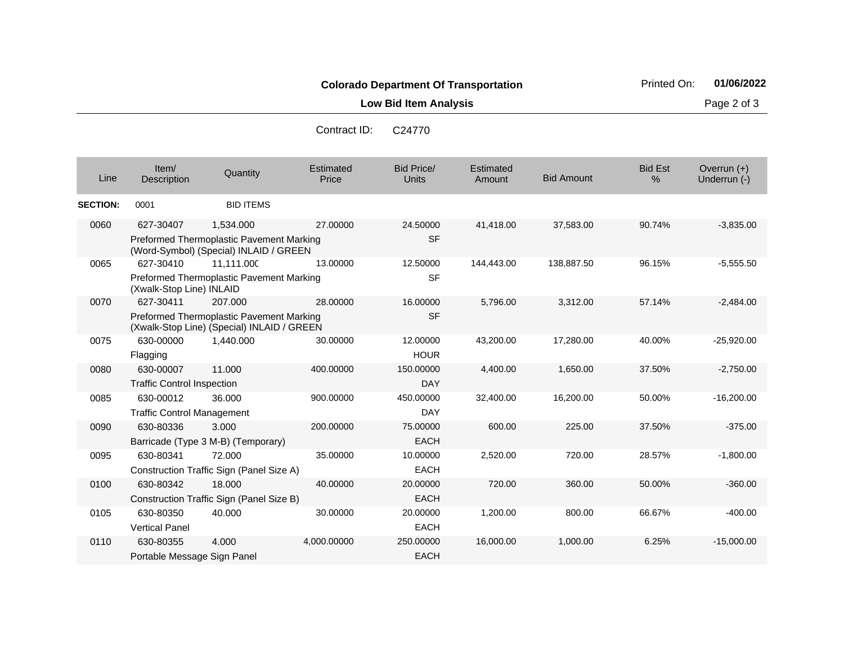Contract ID: C24770

| Line            | Item/<br>Description                           | Quantity                                                                                          | <b>Estimated</b><br>Price | <b>Bid Price/</b><br><b>Units</b> | Estimated<br>Amount | <b>Bid Amount</b> | <b>Bid Est</b><br>% | Overrun $(+)$<br>Underrun (-) |
|-----------------|------------------------------------------------|---------------------------------------------------------------------------------------------------|---------------------------|-----------------------------------|---------------------|-------------------|---------------------|-------------------------------|
| <b>SECTION:</b> | 0001                                           | <b>BID ITEMS</b>                                                                                  |                           |                                   |                     |                   |                     |                               |
| 0060            | 627-30407                                      | 1.534.000<br>Preformed Thermoplastic Pavement Marking<br>(Word-Symbol) (Special) INLAID / GREEN   | 27.00000                  | 24.50000<br><b>SF</b>             | 41,418.00           | 37,583.00         | 90.74%              | $-3,835.00$                   |
| 0065            | 627-30410                                      | 11.111.000<br>Preformed Thermoplastic Pavement Marking                                            | 13.00000                  | 12.50000<br><b>SF</b>             | 144,443.00          | 138,887.50        | 96.15%              | $-5,555.50$                   |
| 0070            | (Xwalk-Stop Line) INLAID<br>627-30411          | 207.000<br>Preformed Thermoplastic Pavement Marking<br>(Xwalk-Stop Line) (Special) INLAID / GREEN | 28.00000                  | 16.00000<br><b>SF</b>             | 5,796.00            | 3,312.00          | 57.14%              | $-2,484.00$                   |
| 0075            | 630-00000<br>Flagging                          | 1.440.000                                                                                         | 30.00000                  | 12.00000<br><b>HOUR</b>           | 43,200.00           | 17,280.00         | 40.00%              | $-25,920.00$                  |
| 0080            | 630-00007<br><b>Traffic Control Inspection</b> | 11.000                                                                                            | 400.00000                 | 150.00000<br><b>DAY</b>           | 4,400.00            | 1,650.00          | 37.50%              | $-2,750.00$                   |
| 0085            | 630-00012<br><b>Traffic Control Management</b> | 36.000                                                                                            | 900.00000                 | 450.00000<br><b>DAY</b>           | 32,400.00           | 16,200.00         | 50.00%              | $-16,200.00$                  |
| 0090            | 630-80336                                      | 3.000<br>Barricade (Type 3 M-B) (Temporary)                                                       | 200.00000                 | 75.00000<br><b>EACH</b>           | 600.00              | 225.00            | 37.50%              | $-375.00$                     |
| 0095            | 630-80341                                      | 72.000<br>Construction Traffic Sign (Panel Size A)                                                | 35.00000                  | 10.00000<br><b>EACH</b>           | 2,520.00            | 720.00            | 28.57%              | $-1,800.00$                   |
| 0100            | 630-80342                                      | 18.000<br>Construction Traffic Sign (Panel Size B)                                                | 40.00000                  | 20.00000<br><b>EACH</b>           | 720.00              | 360.00            | 50.00%              | $-360.00$                     |
| 0105            | 630-80350<br><b>Vertical Panel</b>             | 40.000                                                                                            | 30.00000                  | 20.00000<br><b>EACH</b>           | 1,200.00            | 800.00            | 66.67%              | $-400.00$                     |
| 0110            | 630-80355<br>Portable Message Sign Panel       | 4.000                                                                                             | 4,000.00000               | 250.00000<br><b>EACH</b>          | 16,000.00           | 1,000.00          | 6.25%               | $-15,000.00$                  |